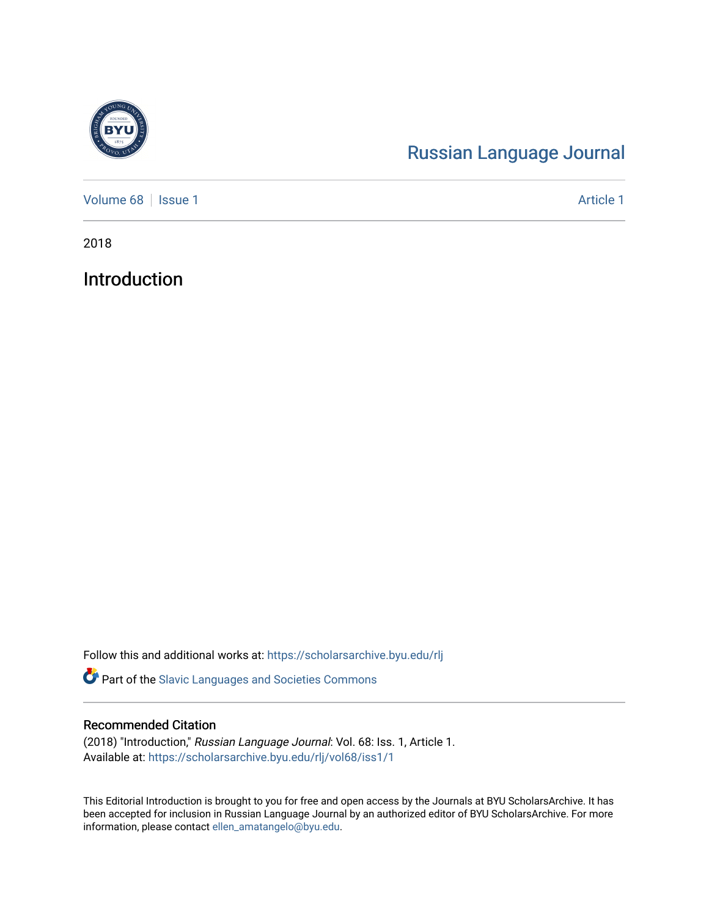

## [Russian Language Journal](https://scholarsarchive.byu.edu/rlj)

[Volume 68](https://scholarsarchive.byu.edu/rlj/vol68) | [Issue 1](https://scholarsarchive.byu.edu/rlj/vol68/iss1) Article 1

2018

Introduction

Follow this and additional works at: [https://scholarsarchive.byu.edu/rlj](https://scholarsarchive.byu.edu/rlj?utm_source=scholarsarchive.byu.edu%2Frlj%2Fvol68%2Fiss1%2F1&utm_medium=PDF&utm_campaign=PDFCoverPages)

Part of the [Slavic Languages and Societies Commons](http://network.bepress.com/hgg/discipline/486?utm_source=scholarsarchive.byu.edu%2Frlj%2Fvol68%2Fiss1%2F1&utm_medium=PDF&utm_campaign=PDFCoverPages) 

## Recommended Citation

(2018) "Introduction," Russian Language Journal: Vol. 68: Iss. 1, Article 1. Available at: [https://scholarsarchive.byu.edu/rlj/vol68/iss1/1](https://scholarsarchive.byu.edu/rlj/vol68/iss1/1?utm_source=scholarsarchive.byu.edu%2Frlj%2Fvol68%2Fiss1%2F1&utm_medium=PDF&utm_campaign=PDFCoverPages) 

This Editorial Introduction is brought to you for free and open access by the Journals at BYU ScholarsArchive. It has been accepted for inclusion in Russian Language Journal by an authorized editor of BYU ScholarsArchive. For more information, please contact [ellen\\_amatangelo@byu.edu.](mailto:ellen_amatangelo@byu.edu)